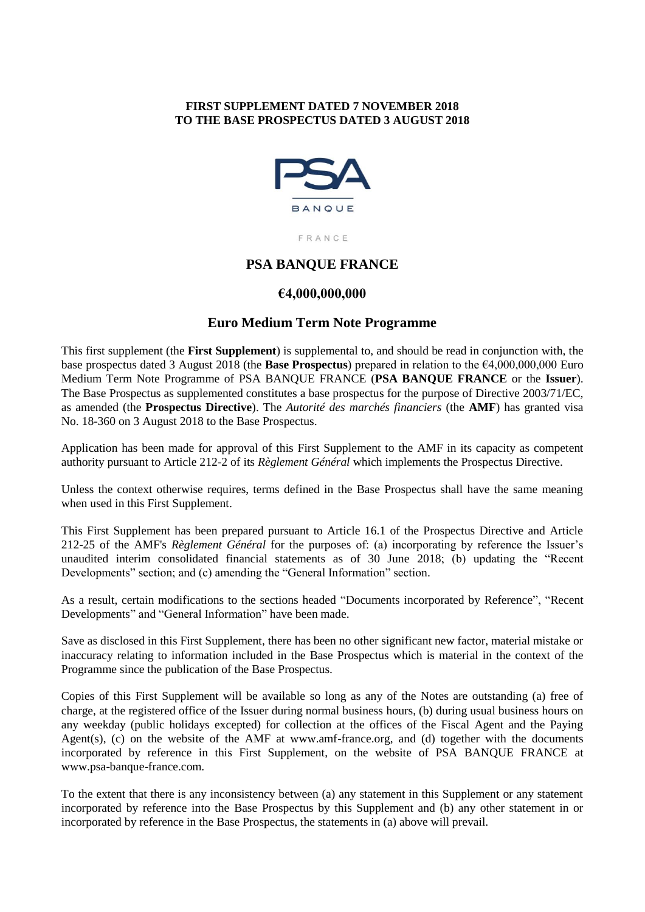# **FIRST SUPPLEMENT DATED 7 NOVEMBER 2018 TO THE BASE PROSPECTUS DATED 3 AUGUST 2018**



FRANCE

# **PSA BANQUE FRANCE**

## **€4,000,000,000**

## **Euro Medium Term Note Programme**

This first supplement (the **First Supplement**) is supplemental to, and should be read in conjunction with, the base prospectus dated 3 August 2018 (the **Base Prospectus**) prepared in relation to the €4,000,000,000 Euro Medium Term Note Programme of PSA BANQUE FRANCE (**PSA BANQUE FRANCE** or the **Issuer**). The Base Prospectus as supplemented constitutes a base prospectus for the purpose of Directive 2003/71/EC, as amended (the **Prospectus Directive**). The *Autorité des marchés financiers* (the **AMF**) has granted visa No. 18-360 on 3 August 2018 to the Base Prospectus.

Application has been made for approval of this First Supplement to the AMF in its capacity as competent authority pursuant to Article 212-2 of its *Règlement Général* which implements the Prospectus Directive.

Unless the context otherwise requires, terms defined in the Base Prospectus shall have the same meaning when used in this First Supplement.

This First Supplement has been prepared pursuant to Article 16.1 of the Prospectus Directive and Article 212-25 of the AMF's *Règlement Général* for the purposes of: (a) incorporating by reference the Issuer's unaudited interim consolidated financial statements as of 30 June 2018; (b) updating the "Recent Developments" section; and (c) amending the "General Information" section.

As a result, certain modifications to the sections headed "Documents incorporated by Reference", "Recent Developments" and "General Information" have been made.

Save as disclosed in this First Supplement, there has been no other significant new factor, material mistake or inaccuracy relating to information included in the Base Prospectus which is material in the context of the Programme since the publication of the Base Prospectus.

Copies of this First Supplement will be available so long as any of the Notes are outstanding (a) free of charge, at the registered office of the Issuer during normal business hours, (b) during usual business hours on any weekday (public holidays excepted) for collection at the offices of the Fiscal Agent and the Paying Agent(s), (c) on the website of the AMF at www.amf-france.org, and (d) together with the documents incorporated by reference in this First Supplement, on the website of PSA BANQUE FRANCE at www.psa-banque-france.com.

To the extent that there is any inconsistency between (a) any statement in this Supplement or any statement incorporated by reference into the Base Prospectus by this Supplement and (b) any other statement in or incorporated by reference in the Base Prospectus, the statements in (a) above will prevail.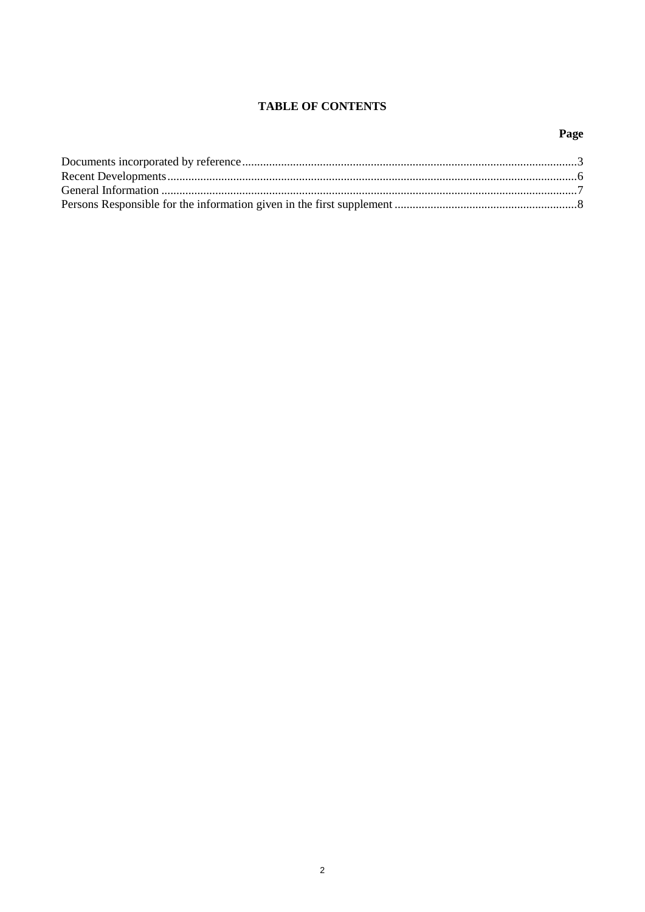# **TABLE OF CONTENTS**

# Page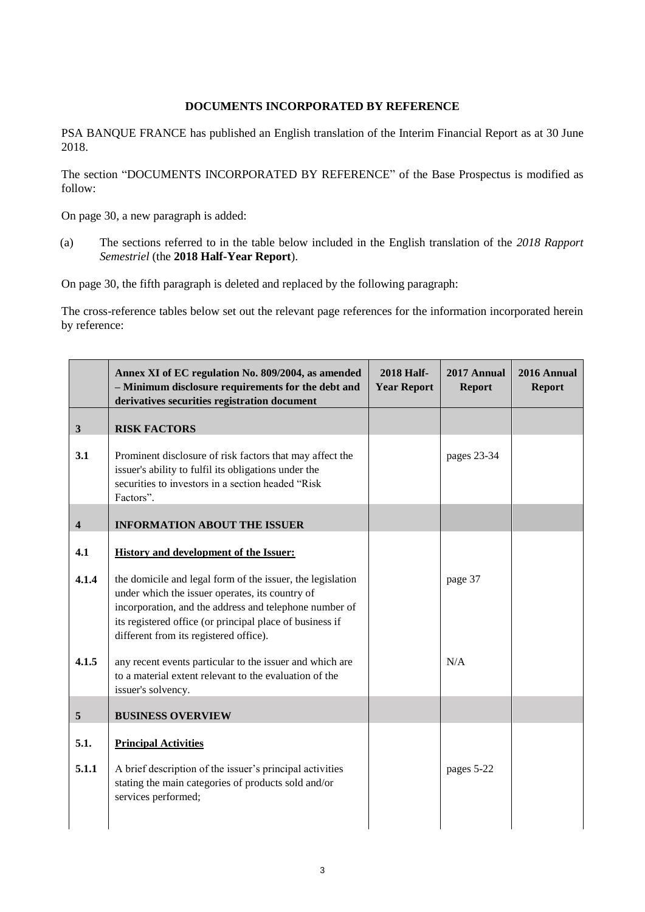## **DOCUMENTS INCORPORATED BY REFERENCE**

PSA BANQUE FRANCE has published an English translation of the Interim Financial Report as at 30 June 2018.

The section "DOCUMENTS INCORPORATED BY REFERENCE" of the Base Prospectus is modified as follow:

On page 30, a new paragraph is added:

(a) The sections referred to in the table below included in the English translation of the *2018 Rapport Semestriel* (the **2018 Half-Year Report**).

On page 30, the fifth paragraph is deleted and replaced by the following paragraph:

The cross-reference tables below set out the relevant page references for the information incorporated herein by reference:

|                         | Annex XI of EC regulation No. 809/2004, as amended<br>- Minimum disclosure requirements for the debt and<br>derivatives securities registration document                                                                                                                                                                                                                                                                                                                   | <b>2018 Half-</b><br><b>Year Report</b> | 2017 Annual<br><b>Report</b> | 2016 Annual<br><b>Report</b> |
|-------------------------|----------------------------------------------------------------------------------------------------------------------------------------------------------------------------------------------------------------------------------------------------------------------------------------------------------------------------------------------------------------------------------------------------------------------------------------------------------------------------|-----------------------------------------|------------------------------|------------------------------|
| $\mathbf{3}$            | <b>RISK FACTORS</b>                                                                                                                                                                                                                                                                                                                                                                                                                                                        |                                         |                              |                              |
| 3.1                     | Prominent disclosure of risk factors that may affect the<br>issuer's ability to fulfil its obligations under the<br>securities to investors in a section headed "Risk<br>Factors".                                                                                                                                                                                                                                                                                         |                                         | pages 23-34                  |                              |
| $\overline{\mathbf{4}}$ | <b>INFORMATION ABOUT THE ISSUER</b>                                                                                                                                                                                                                                                                                                                                                                                                                                        |                                         |                              |                              |
| 4.1<br>4.1.4<br>4.1.5   | <b>History and development of the Issuer:</b><br>the domicile and legal form of the issuer, the legislation<br>under which the issuer operates, its country of<br>incorporation, and the address and telephone number of<br>its registered office (or principal place of business if<br>different from its registered office).<br>any recent events particular to the issuer and which are<br>to a material extent relevant to the evaluation of the<br>issuer's solvency. |                                         | page 37<br>N/A               |                              |
| $\overline{5}$          | <b>BUSINESS OVERVIEW</b>                                                                                                                                                                                                                                                                                                                                                                                                                                                   |                                         |                              |                              |
| 5.1.<br>5.1.1           | <b>Principal Activities</b><br>A brief description of the issuer's principal activities<br>stating the main categories of products sold and/or<br>services performed;                                                                                                                                                                                                                                                                                                      |                                         | pages 5-22                   |                              |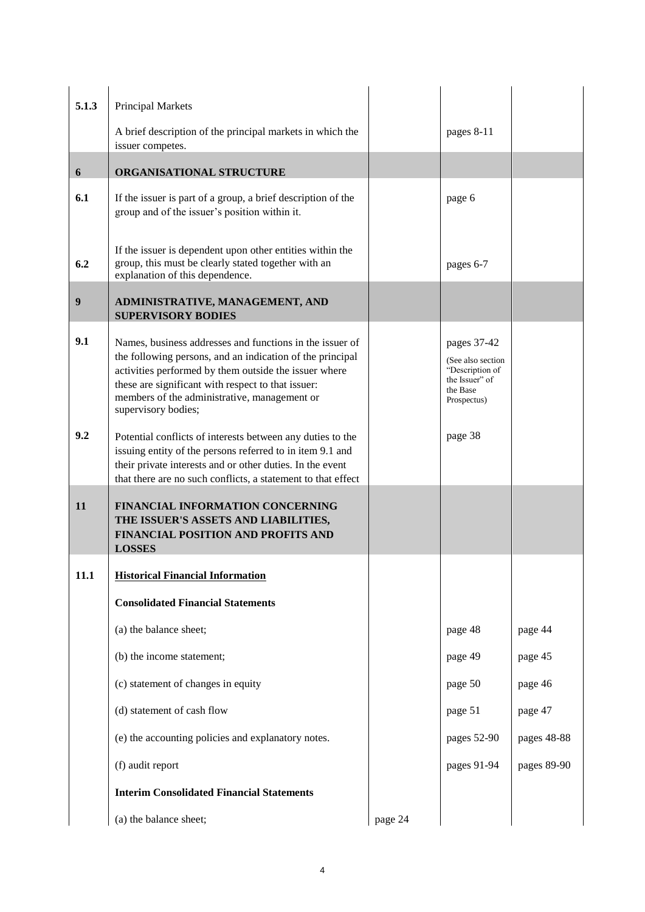| 5.1.3 | <b>Principal Markets</b>                                                                                                                                                                                                                                                                                    |         |                                                                                                   |             |
|-------|-------------------------------------------------------------------------------------------------------------------------------------------------------------------------------------------------------------------------------------------------------------------------------------------------------------|---------|---------------------------------------------------------------------------------------------------|-------------|
|       | A brief description of the principal markets in which the<br>issuer competes.                                                                                                                                                                                                                               |         | pages 8-11                                                                                        |             |
| 6     | ORGANISATIONAL STRUCTURE                                                                                                                                                                                                                                                                                    |         |                                                                                                   |             |
| 6.1   | If the issuer is part of a group, a brief description of the<br>group and of the issuer's position within it.                                                                                                                                                                                               |         | page 6                                                                                            |             |
| 6.2   | If the issuer is dependent upon other entities within the<br>group, this must be clearly stated together with an<br>explanation of this dependence.                                                                                                                                                         |         | pages 6-7                                                                                         |             |
| 9     | ADMINISTRATIVE, MANAGEMENT, AND<br><b>SUPERVISORY BODIES</b>                                                                                                                                                                                                                                                |         |                                                                                                   |             |
| 9.1   | Names, business addresses and functions in the issuer of<br>the following persons, and an indication of the principal<br>activities performed by them outside the issuer where<br>these are significant with respect to that issuer:<br>members of the administrative, management or<br>supervisory bodies; |         | pages 37-42<br>(See also section)<br>"Description of<br>the Issuer" of<br>the Base<br>Prospectus) |             |
| 9.2   | Potential conflicts of interests between any duties to the<br>issuing entity of the persons referred to in item 9.1 and<br>their private interests and or other duties. In the event<br>that there are no such conflicts, a statement to that effect                                                        |         | page 38                                                                                           |             |
| 11    | FINANCIAL INFORMATION CONCERNING<br>THE ISSUER'S ASSETS AND LIABILITIES,<br>FINANCIAL POSITION AND PROFITS AND<br><b>LOSSES</b>                                                                                                                                                                             |         |                                                                                                   |             |
| 11.1  | <b>Historical Financial Information</b>                                                                                                                                                                                                                                                                     |         |                                                                                                   |             |
|       | <b>Consolidated Financial Statements</b>                                                                                                                                                                                                                                                                    |         |                                                                                                   |             |
|       | (a) the balance sheet;                                                                                                                                                                                                                                                                                      |         | page 48                                                                                           | page 44     |
|       | (b) the income statement;                                                                                                                                                                                                                                                                                   |         | page 49                                                                                           | page 45     |
|       | (c) statement of changes in equity                                                                                                                                                                                                                                                                          |         | page 50                                                                                           | page 46     |
|       | (d) statement of cash flow                                                                                                                                                                                                                                                                                  |         | page 51                                                                                           | page 47     |
|       | (e) the accounting policies and explanatory notes.                                                                                                                                                                                                                                                          |         | pages 52-90                                                                                       | pages 48-88 |
|       | (f) audit report                                                                                                                                                                                                                                                                                            |         | pages 91-94                                                                                       | pages 89-90 |
|       | <b>Interim Consolidated Financial Statements</b>                                                                                                                                                                                                                                                            |         |                                                                                                   |             |
|       | (a) the balance sheet;                                                                                                                                                                                                                                                                                      | page 24 |                                                                                                   |             |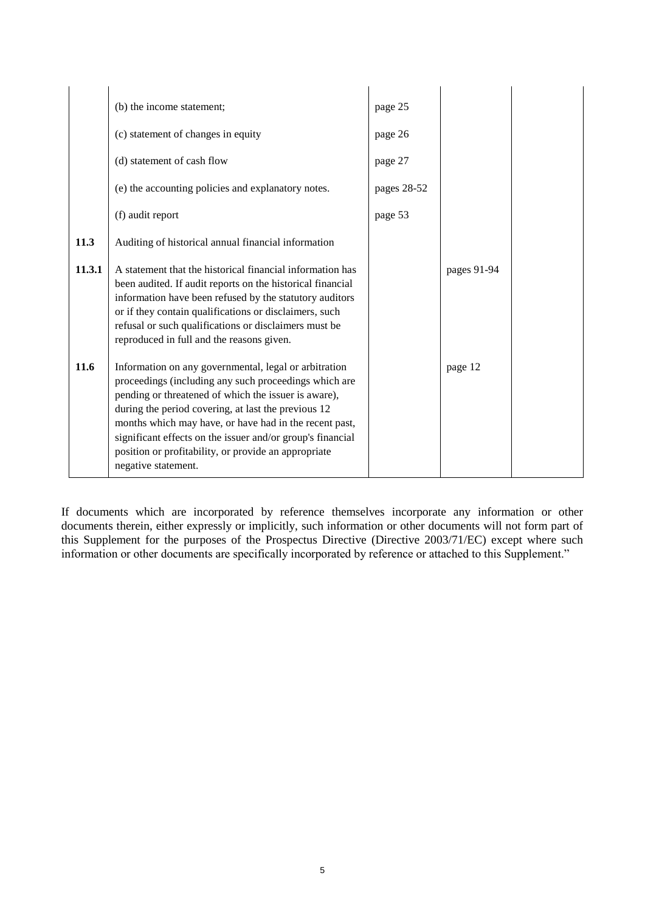|        | (b) the income statement;                                                                                                                                                                                                                                                                                                                                                                                                            | page 25     |             |  |
|--------|--------------------------------------------------------------------------------------------------------------------------------------------------------------------------------------------------------------------------------------------------------------------------------------------------------------------------------------------------------------------------------------------------------------------------------------|-------------|-------------|--|
|        | (c) statement of changes in equity                                                                                                                                                                                                                                                                                                                                                                                                   | page 26     |             |  |
|        | (d) statement of cash flow                                                                                                                                                                                                                                                                                                                                                                                                           | page 27     |             |  |
|        | (e) the accounting policies and explanatory notes.                                                                                                                                                                                                                                                                                                                                                                                   | pages 28-52 |             |  |
|        | (f) audit report                                                                                                                                                                                                                                                                                                                                                                                                                     | page 53     |             |  |
| 11.3   | Auditing of historical annual financial information                                                                                                                                                                                                                                                                                                                                                                                  |             |             |  |
| 11.3.1 | A statement that the historical financial information has<br>been audited. If audit reports on the historical financial<br>information have been refused by the statutory auditors<br>or if they contain qualifications or disclaimers, such<br>refusal or such qualifications or disclaimers must be<br>reproduced in full and the reasons given.                                                                                   |             | pages 91-94 |  |
| 11.6   | Information on any governmental, legal or arbitration<br>proceedings (including any such proceedings which are<br>pending or threatened of which the issuer is aware),<br>during the period covering, at last the previous 12<br>months which may have, or have had in the recent past,<br>significant effects on the issuer and/or group's financial<br>position or profitability, or provide an appropriate<br>negative statement. |             | page 12     |  |

If documents which are incorporated by reference themselves incorporate any information or other documents therein, either expressly or implicitly, such information or other documents will not form part of this Supplement for the purposes of the Prospectus Directive (Directive 2003/71/EC) except where such information or other documents are specifically incorporated by reference or attached to this Supplement."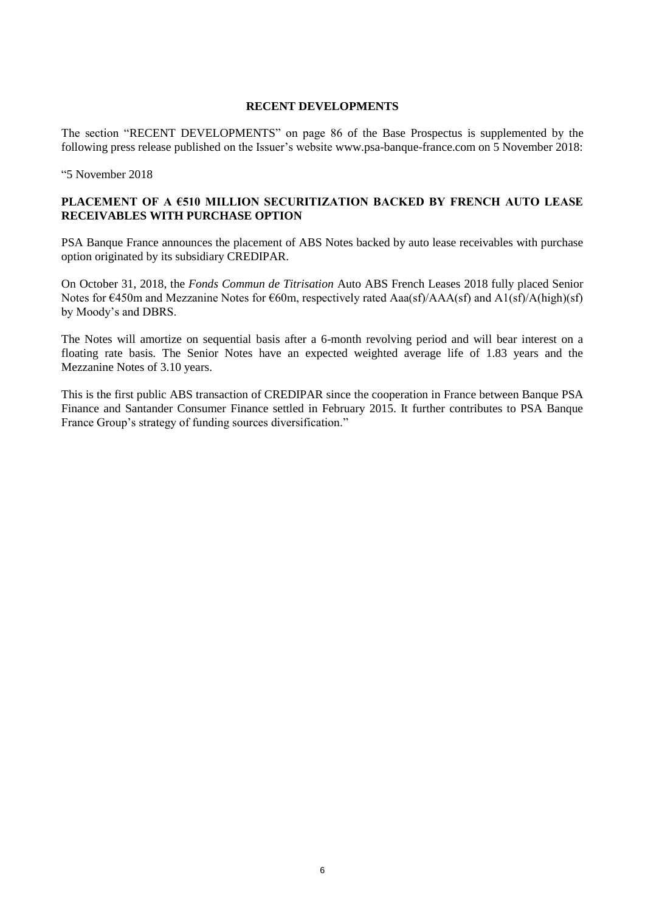### **RECENT DEVELOPMENTS**

The section "RECENT DEVELOPMENTS" on page 86 of the Base Prospectus is supplemented by the following press release published on the Issuer's website www.psa-banque-france.com on 5 November 2018:

"5 November 2018

## **PLACEMENT OF A €510 MILLION SECURITIZATION BACKED BY FRENCH AUTO LEASE RECEIVABLES WITH PURCHASE OPTION**

PSA Banque France announces the placement of ABS Notes backed by auto lease receivables with purchase option originated by its subsidiary CREDIPAR.

On October 31, 2018, the *Fonds Commun de Titrisation* Auto ABS French Leases 2018 fully placed Senior Notes for  $\epsilon$ 450m and Mezzanine Notes for  $\epsilon$ 60m, respectively rated Aaa(sf)/AAA(sf) and A1(sf)/A(high)(sf) by Moody's and DBRS.

The Notes will amortize on sequential basis after a 6-month revolving period and will bear interest on a floating rate basis. The Senior Notes have an expected weighted average life of 1.83 years and the Mezzanine Notes of 3.10 years.

This is the first public ABS transaction of CREDIPAR since the cooperation in France between Banque PSA Finance and Santander Consumer Finance settled in February 2015. It further contributes to PSA Banque France Group's strategy of funding sources diversification."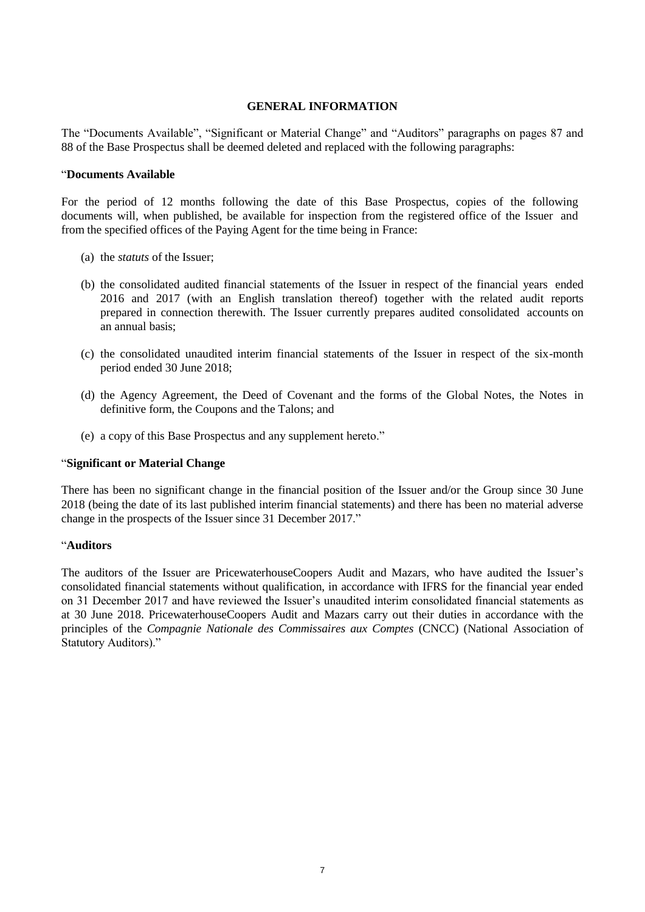#### **GENERAL INFORMATION**

The "Documents Available", "Significant or Material Change" and "Auditors" paragraphs on pages 87 and 88 of the Base Prospectus shall be deemed deleted and replaced with the following paragraphs:

#### "**Documents Available**

For the period of 12 months following the date of this Base Prospectus, copies of the following documents will, when published, be available for inspection from the registered office of the Issuer and from the specified offices of the Paying Agent for the time being in France:

- (a) the *statuts* of the Issuer;
- (b) the consolidated audited financial statements of the Issuer in respect of the financial years ended 2016 and 2017 (with an English translation thereof) together with the related audit reports prepared in connection therewith. The Issuer currently prepares audited consolidated accounts on an annual basis;
- (c) the consolidated unaudited interim financial statements of the Issuer in respect of the six-month period ended 30 June 2018;
- (d) the Agency Agreement, the Deed of Covenant and the forms of the Global Notes, the Notes in definitive form, the Coupons and the Talons; and
- (e) a copy of this Base Prospectus and any supplement hereto."

#### "**Significant or Material Change**

There has been no significant change in the financial position of the Issuer and/or the Group since 30 June 2018 (being the date of its last published interim financial statements) and there has been no material adverse change in the prospects of the Issuer since 31 December 2017."

#### "**Auditors**

The auditors of the Issuer are PricewaterhouseCoopers Audit and Mazars, who have audited the Issuer's consolidated financial statements without qualification, in accordance with IFRS for the financial year ended on 31 December 2017 and have reviewed the Issuer's unaudited interim consolidated financial statements as at 30 June 2018. PricewaterhouseCoopers Audit and Mazars carry out their duties in accordance with the principles of the *Compagnie Nationale des Commissaires aux Comptes* (CNCC) (National Association of Statutory Auditors)."